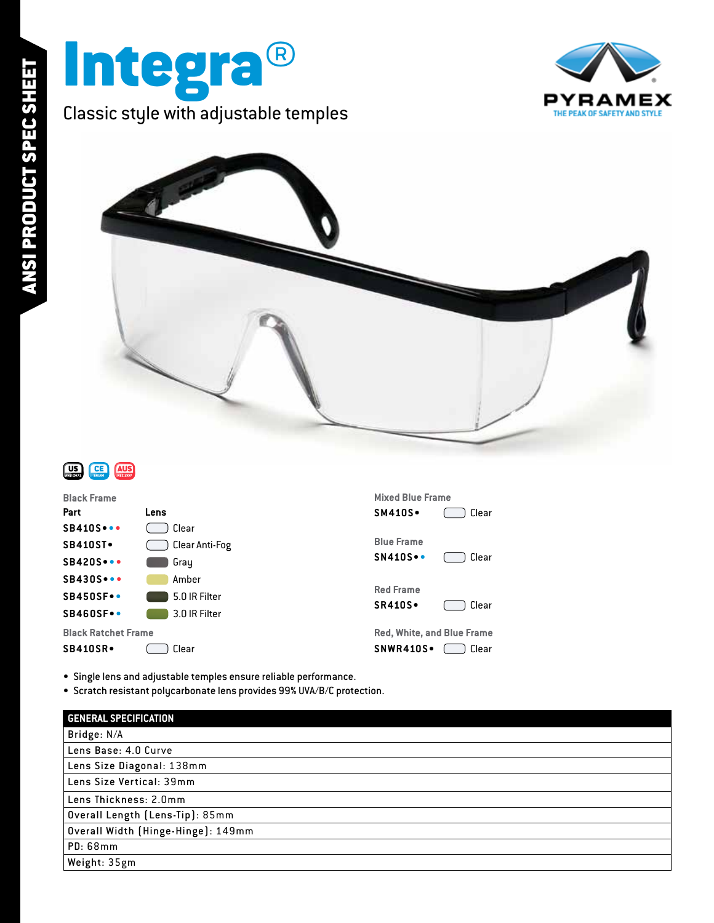





| <b>Black Frame</b>         |                | <b>Mixed Blue Frame</b>           |       |
|----------------------------|----------------|-----------------------------------|-------|
| Part                       | Lens           | <b>SM410S</b> .                   | Clear |
| <b>SB410S</b>              | Clear          |                                   |       |
| <b>SB410ST</b>             | Clear Anti-Fog | <b>Blue Frame</b>                 |       |
| <b>SB420S</b>              | Gray           | <b>SN410S.</b>                    | Clear |
| $SB430S\cdots$             | Amber          |                                   |       |
| <b>SB450SF</b> .           | 5.0 IR Filter  | <b>Red Frame</b>                  |       |
| <b>SB460SF</b> .           | 3.0 IR Filter  | <b>SR410S</b> .                   | Clear |
| <b>Black Ratchet Frame</b> |                | <b>Red, White, and Blue Frame</b> |       |
| <b>SB410SR</b> .           | Clear          | SNWR410S.                         | Clear |
|                            |                |                                   |       |

• Single lens and adjustable temples ensure reliable performance.

• Scratch resistant polycarbonate lens provides 99% UVA/B/C protection.

| <b>GENERAL SPECIFICATION</b>       |  |  |
|------------------------------------|--|--|
| Bridge: N/A                        |  |  |
| Lens Base: 4.0 Curve               |  |  |
| Lens Size Diagonal: 138mm          |  |  |
| Lens Size Vertical: 39mm           |  |  |
| Lens Thickness: 2.0mm              |  |  |
| Overall Length (Lens-Tip): 85mm    |  |  |
| Overall Width (Hinge-Hinge): 149mm |  |  |
| <b>PD: 68mm</b>                    |  |  |
| Weight: 35gm                       |  |  |